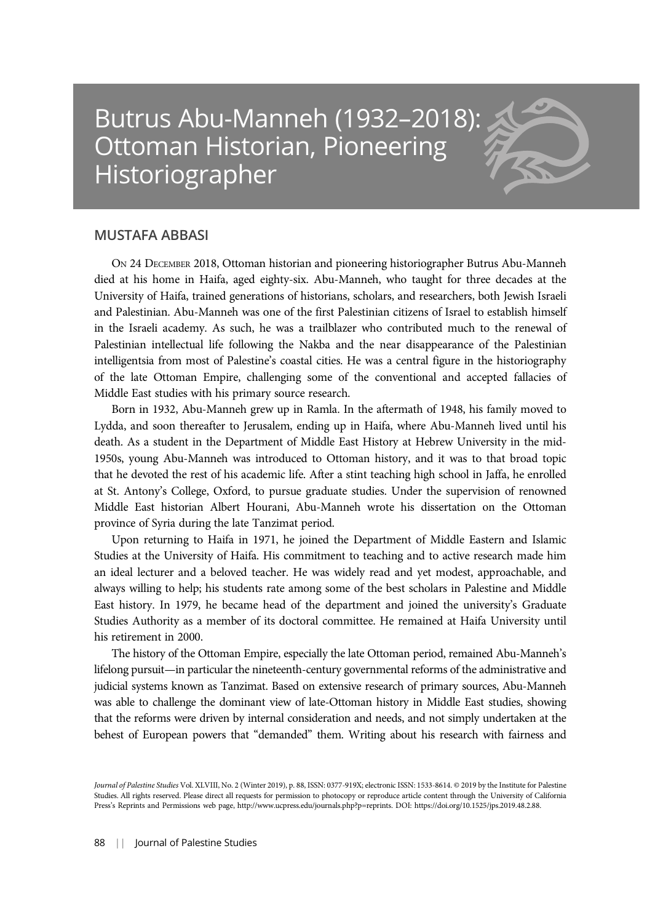## Butrus Abu-Manneh (1932–2018): Ottoman Historian, Pioneering Historiographer



ON 24 DECEMBER 2018, Ottoman historian and pioneering historiographer Butrus Abu-Manneh died at his home in Haifa, aged eighty-six. Abu-Manneh, who taught for three decades at the University of Haifa, trained generations of historians, scholars, and researchers, both Jewish Israeli and Palestinian. Abu-Manneh was one of the first Palestinian citizens of Israel to establish himself in the Israeli academy. As such, he was a trailblazer who contributed much to the renewal of Palestinian intellectual life following the Nakba and the near disappearance of the Palestinian intelligentsia from most of Palestine's coastal cities. He was a central figure in the historiography of the late Ottoman Empire, challenging some of the conventional and accepted fallacies of Middle East studies with his primary source research.

Born in 1932, Abu-Manneh grew up in Ramla. In the aftermath of 1948, his family moved to Lydda, and soon thereafter to Jerusalem, ending up in Haifa, where Abu-Manneh lived until his death. As a student in the Department of Middle East History at Hebrew University in the mid-1950s, young Abu-Manneh was introduced to Ottoman history, and it was to that broad topic that he devoted the rest of his academic life. After a stint teaching high school in Jaffa, he enrolled at St. Antony's College, Oxford, to pursue graduate studies. Under the supervision of renowned Middle East historian Albert Hourani, Abu-Manneh wrote his dissertation on the Ottoman province of Syria during the late Tanzimat period.

Upon returning to Haifa in 1971, he joined the Department of Middle Eastern and Islamic Studies at the University of Haifa. His commitment to teaching and to active research made him an ideal lecturer and a beloved teacher. He was widely read and yet modest, approachable, and always willing to help; his students rate among some of the best scholars in Palestine and Middle East history. In 1979, he became head of the department and joined the university's Graduate Studies Authority as a member of its doctoral committee. He remained at Haifa University until his retirement in 2000.

The history of the Ottoman Empire, especially the late Ottoman period, remained Abu-Manneh's lifelong pursuit—in particular the nineteenth-century governmental reforms of the administrative and judicial systems known as Tanzimat. Based on extensive research of primary sources, Abu-Manneh was able to challenge the dominant view of late-Ottoman history in Middle East studies, showing that the reforms were driven by internal consideration and needs, and not simply undertaken at the behest of European powers that "demanded" them. Writing about his research with fairness and

Journal of Palestine Studies Vol. XLVIII, No. 2 (Winter 2019), p. 88, ISSN: 0377-919X; electronic ISSN: 1533-8614. © 2019 by the Institute for Palestine Studies. All rights reserved. Please direct all requests for permission to photocopy or reproduce article content through the University of California Press's Reprints and Permissions web page, http://www.ucpress.edu/journals.php?p=reprints. DOI: https://doi.org/10.1525/jps.2019.48.2.88.